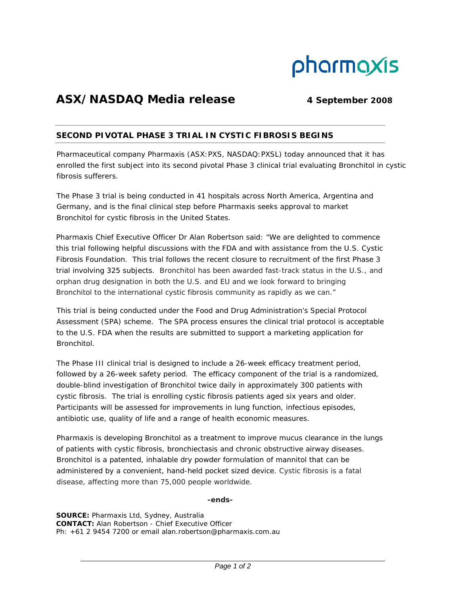

# ASX/NASDAQ Media release 4 September 2008

# **SECOND PIVOTAL PHASE 3 TRIAL IN CYSTIC FIBROSIS BEGINS**

Pharmaceutical company Pharmaxis (ASX:PXS, NASDAQ:PXSL) today announced that it has enrolled the first subject into its second pivotal Phase 3 clinical trial evaluating Bronchitol in cystic fibrosis sufferers.

The Phase 3 trial is being conducted in 41 hospitals across North America, Argentina and Germany, and is the final clinical step before Pharmaxis seeks approval to market Bronchitol for cystic fibrosis in the United States.

Pharmaxis Chief Executive Officer Dr Alan Robertson said: "We are delighted to commence this trial following helpful discussions with the FDA and with assistance from the U.S. Cystic Fibrosis Foundation. This trial follows the recent closure to recruitment of the first Phase 3 trial involving 325 subjects. Bronchitol has been awarded fast-track status in the U.S., and orphan drug designation in both the U.S. and EU and we look forward to bringing Bronchitol to the international cystic fibrosis community as rapidly as we can."

This trial is being conducted under the Food and Drug Administration's Special Protocol Assessment (SPA) scheme. The SPA process ensures the clinical trial protocol is acceptable to the U.S. FDA when the results are submitted to support a marketing application for Bronchitol.

The Phase III clinical trial is designed to include a 26-week efficacy treatment period, followed by a 26-week safety period. The efficacy component of the trial is a randomized, double-blind investigation of Bronchitol twice daily in approximately 300 patients with cystic fibrosis. The trial is enrolling cystic fibrosis patients aged six years and older. Participants will be assessed for improvements in lung function, infectious episodes, antibiotic use, quality of life and a range of health economic measures.

Pharmaxis is developing Bronchitol as a treatment to improve mucus clearance in the lungs of patients with cystic fibrosis, bronchiectasis and chronic obstructive airway diseases. Bronchitol is a patented, inhalable dry powder formulation of mannitol that can be administered by a convenient, hand-held pocket sized device. Cystic fibrosis is a fatal disease, affecting more than 75,000 people worldwide.

## **-ends-**

**SOURCE:** Pharmaxis Ltd, Sydney, Australia **CONTACT:** Alan Robertson - Chief Executive Officer Ph: +61 2 9454 7200 or email alan.robertson@pharmaxis.com.au